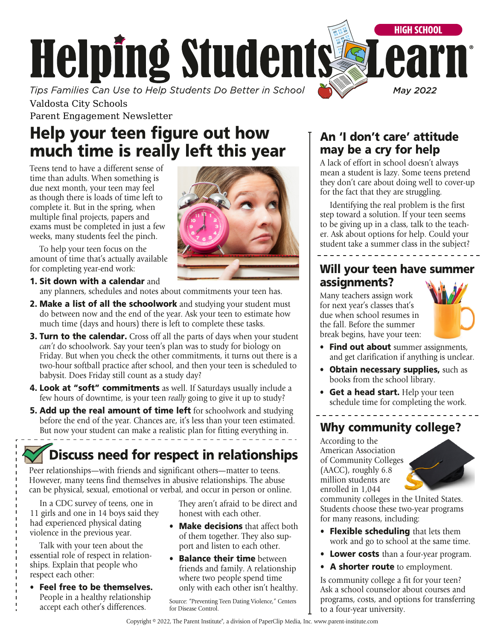

Valdosta City Schools Parent Engagement Newsletter

# Help your teen figure out how much time is really left this year

Teens tend to have a different sense of time than adults. When something is due next month, your teen may feel as though there is loads of time left to complete it. But in the spring, when multiple final projects, papers and exams must be completed in just a few weeks, many students feel the pinch.

To help your teen focus on the amount of time that's actually available for completing year-end work:

### 1. Sit down with a calendar and any planners, schedules and notes about commitments your teen has.

- **2. Make a list of all the schoolwork** and studying your student must do between now and the end of the year. Ask your teen to estimate how much time (days and hours) there is left to complete these tasks.
- **3. Turn to the calendar.** Cross off all the parts of days when your student *can't* do schoolwork. Say your teen's plan was to study for biology on Friday. But when you check the other commitments, it turns out there is a two-hour softball practice after school, and then your teen is scheduled to babysit. Does Friday still count as a study day?
- 4. Look at "soft" commitments as well. If Saturdays usually include a few hours of downtime, is your teen *really* going to give it up to study?
- **5. Add up the real amount of time left** for schoolwork and studying before the end of the year. Chances are, it's less than your teen estimated. But now your student can make a realistic plan for fitting everything in.

# Discuss need for respect in relationships

Peer relationships—with friends and significant others—matter to teens. However, many teens find themselves in abusive relationships. The abuse can be physical, sexual, emotional or verbal, and occur in person or online.

In a CDC survey of teens, one in 11 girls and one in 14 boys said they had experienced physical dating violence in the previous year.

Talk with your teen about the essential role of respect in relationships. Explain that people who respect each other:

• Feel free to be themselves. People in a healthy relationship accept each other's differences.

They aren't afraid to be direct and honest with each other.

- Make decisions that affect both of them together. They also support and listen to each other.
- **Balance their time** between friends and family. A relationship where two people spend time only with each other isn't healthy.

Source: "Preventing Teen Dating Violence," Centers for Disease Control.

## An 'I don't care' attitude may be a cry for help

A lack of effort in school doesn't always mean a student is lazy. Some teens pretend they don't care about doing well to cover-up for the fact that they are struggling.

Identifying the real problem is the first step toward a solution. If your teen seems to be giving up in a class, talk to the teacher. Ask about options for help. Could your student take a summer class in the subject?

## Will your teen have summer assignments?

Many teachers assign work for next year's classes that's due when school resumes in the fall. Before the summer break begins, have your teen:



- Find out about summer assignments, and get clarification if anything is unclear.
- Obtain necessary supplies, such as books from the school library.
- Get a head start. Help your teen schedule time for completing the work.

## Why community college?

According to the American Association of Community Colleges (AACC), roughly 6.8 million students are enrolled in 1,044



community colleges in the United States. Students choose these two-year programs for many reasons, including:

- Flexible scheduling that lets them work and go to school at the same time.
- Lower costs than a four-year program.
- A shorter route to employment.

Is community college a fit for your teen? Ask a school counselor about courses and programs, costs, and options for transferring to a four-year university.